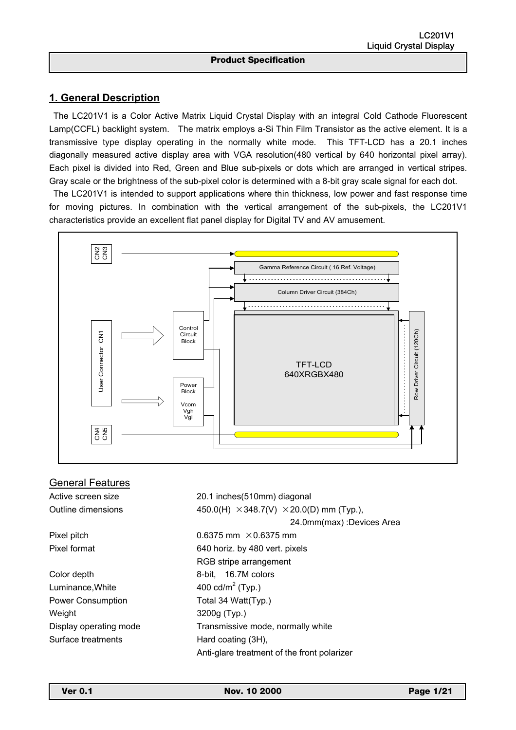## **1. General Description**

<u></u>

 The LC201V1 is a Color Active Matrix Liquid Crystal Display with an integral Cold Cathode Fluorescent Lamp(CCFL) backlight system. The matrix employs a-Si Thin Film Transistor as the active element. It is a transmissive type display operating in the normally white mode. This TFT-LCD has a 20.1 inches diagonally measured active display area with VGA resolution(480 vertical by 640 horizontal pixel array). Each pixel is divided into Red, Green and Blue sub-pixels or dots which are arranged in vertical stripes. Gray scale or the brightness of the sub-pixel color is determined with a 8-bit gray scale signal for each dot.

 The LC201V1 is intended to support applications where thin thickness, low power and fast response time for moving pictures. In combination with the vertical arrangement of the sub-pixels, the LC201V1 characteristics provide an excellent flat panel display for Digital TV and AV amusement.



| General Features         |                                                        |
|--------------------------|--------------------------------------------------------|
| Active screen size       | 20.1 inches(510mm) diagonal                            |
| Outline dimensions       | 450.0(H) $\times$ 348.7(V) $\times$ 20.0(D) mm (Typ.), |
|                          | 24.0mm(max) :Devices Area                              |
| Pixel pitch              | 0.6375 mm $\times$ 0.6375 mm                           |
| Pixel format             | 640 horiz. by 480 vert. pixels                         |
|                          | RGB stripe arrangement                                 |
| Color depth              | 8-bit, 16.7M colors                                    |
| Luminance, White         | 400 cd/m <sup>2</sup> (Typ.)                           |
| <b>Power Consumption</b> | Total 34 Watt(Typ.)                                    |
| Weight                   | 3200g (Typ.)                                           |
| Display operating mode   | Transmissive mode, normally white                      |
| Surface treatments       | Hard coating (3H),                                     |
|                          | Anti-glare treatment of the front polarizer            |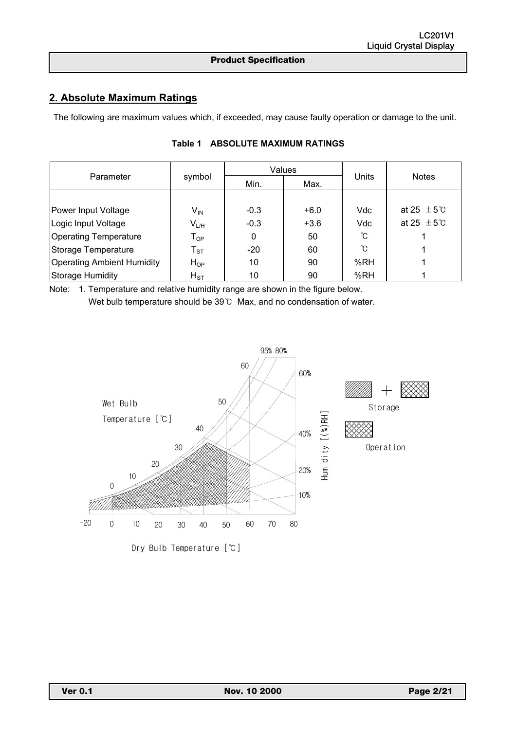# **2. Absolute Maximum Ratings**

<u></u>

The following are maximum values which, if exceeded, may cause faulty operation or damage to the unit.

|                                   |                            |        | Values |       |                           |  |  |
|-----------------------------------|----------------------------|--------|--------|-------|---------------------------|--|--|
| Parameter                         | symbol                     | Min.   | Max.   | Units | <b>Notes</b>              |  |  |
|                                   |                            |        |        |       |                           |  |  |
| Power Input Voltage               | $\mathsf{V}_{\mathsf{IN}}$ | $-0.3$ | $+6.0$ | Vdc   | at 25 $\pm$ 5 $\degree$ C |  |  |
| Logic Input Voltage               | $V_{L/H}$                  | $-0.3$ | $+3.6$ | Vdc   | at 25 $\pm$ 5 $\degree$ C |  |  |
| <b>Operating Temperature</b>      | $T_{OP}$                   | 0      | 50     | ົໂ    |                           |  |  |
| Storage Temperature               | $T_{ST}$                   | $-20$  | 60     | ົໂ    |                           |  |  |
| <b>Operating Ambient Humidity</b> | $H_{OP}$                   | 10     | 90     | %RH   |                           |  |  |
| Storage Humidity                  | $H_{ST}$                   | 10     | 90     | %RH   |                           |  |  |

### **Table 1 ABSOLUTE MAXIMUM RATINGS**

Note: 1. Temperature and relative humidity range are shown in the figure below. Wet bulb temperature should be 39℃ Max, and no condensation of water.

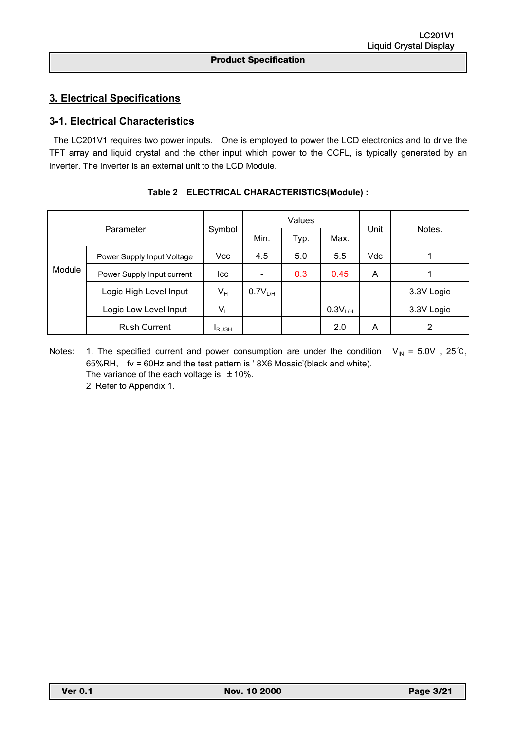## **3. Electrical Specifications**

## **3-1. Electrical Characteristics**

<u></u>

 The LC201V1 requires two power inputs. One is employed to power the LCD electronics and to drive the TFT array and liquid crystal and the other input which power to the CCFL, is typically generated by an inverter. The inverter is an external unit to the LCD Module.

| Parameter |                            |               |              | Values |                     |      | Notes.     |  |
|-----------|----------------------------|---------------|--------------|--------|---------------------|------|------------|--|
|           |                            | Symbol        | Min.         | Typ.   | Max.                | Unit |            |  |
|           | Power Supply Input Voltage | Vcc           | 4.5          | 5.0    | 5.5                 | Vdc  |            |  |
| Module    | Power Supply Input current | lcc           |              | 0.3    | 0.45                | A    |            |  |
|           | Logic High Level Input     | $V_H$         | $0.7V_{L/H}$ |        |                     |      | 3.3V Logic |  |
|           | Logic Low Level Input      | $V_L$         |              |        | 0.3V <sub>L/H</sub> |      | 3.3V Logic |  |
|           | <b>Rush Current</b>        | <b>I</b> RUSH |              |        | 2.0                 | A    | 2          |  |

|  |  | Table 2 ELECTRICAL CHARACTERISTICS(Module) : |
|--|--|----------------------------------------------|
|--|--|----------------------------------------------|

Notes: 1. The specified current and power consumption are under the condition ;  $V_{IN} = 5.0V$ , 25°C, 65%RH, fv = 60Hz and the test pattern is ' 8X6 Mosaic'(black and white). The variance of the each voltage is  $\pm 10\%$ . 2. Refer to Appendix 1.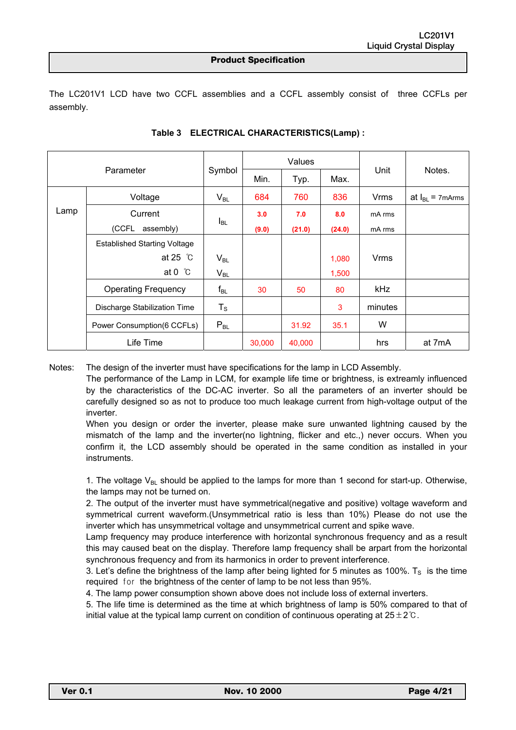<u></u>

The LC201V1 LCD have two CCFL assemblies and a CCFL assembly consist of three CCFLs per assembly.

| Parameter |                                     |             |        | Values |        |             |                      |
|-----------|-------------------------------------|-------------|--------|--------|--------|-------------|----------------------|
|           |                                     | Symbol      | Min.   | Typ.   | Max.   | Unit        | Notes.               |
|           | Voltage                             | $V_{BL}$    | 684    | 760    | 836    | Vrms        | at $I_{BL}$ = 7mArms |
| Lamp      | Current                             |             | 3.0    | 7.0    | 8.0    | mA rms      |                      |
|           | (CCFL<br>assembly)                  | $I_{BL}$    | (9.0)  | (21.0) | (24.0) | mA rms      |                      |
|           | <b>Established Starting Voltage</b> |             |        |        |        |             |                      |
|           | at 25 $\degree$ C                   | $V_{BL}$    |        |        | 1,080  | <b>Vrms</b> |                      |
|           | at 0 $\degree$ C                    | $V_{BL}$    |        |        | 1,500  |             |                      |
|           | <b>Operating Frequency</b>          | $f_{BL}$    | 30     | 50     | 80     | kHz         |                      |
|           | Discharge Stabilization Time        | $T_{\rm S}$ |        |        | 3      | minutes     |                      |
|           | Power Consumption(6 CCFLs)          | $P_{BL}$    |        | 31.92  | 35.1   | W           |                      |
|           | Life Time                           |             | 30,000 | 40,000 |        | hrs         | at 7mA               |

### **Table 3 ELECTRICAL CHARACTERISTICS(Lamp) :**

Notes: The design of the inverter must have specifications for the lamp in LCD Assembly.

The performance of the Lamp in LCM, for example life time or brightness, is extreamly influenced by the characteristics of the DC-AC inverter. So all the parameters of an inverter should be carefully designed so as not to produce too much leakage current from high-voltage output of the inverter.

When you design or order the inverter, please make sure unwanted lightning caused by the mismatch of the lamp and the inverter(no lightning, flicker and etc.,) never occurs. When you confirm it, the LCD assembly should be operated in the same condition as installed in your instruments.

1. The voltage  $V_{BL}$  should be applied to the lamps for more than 1 second for start-up. Otherwise, the lamps may not be turned on.

2. The output of the inverter must have symmetrical(negative and positive) voltage waveform and symmetrical current waveform.(Unsymmetrical ratio is less than 10%) Please do not use the inverter which has unsymmetrical voltage and unsymmetrical current and spike wave.

Lamp frequency may produce interference with horizontal synchronous frequency and as a result this may caused beat on the display. Therefore lamp frequency shall be arpart from the horizontal synchronous frequency and from its harmonics in order to prevent interference.

3. Let's define the brightness of the lamp after being lighted for 5 minutes as 100%.  $T<sub>S</sub>$  is the time required for the brightness of the center of lamp to be not less than 95%.

4. The lamp power consumption shown above does not include loss of external inverters.

5. The life time is determined as the time at which brightness of lamp is 50% compared to that of initial value at the typical lamp current on condition of continuous operating at  $25\pm2\degree$ C.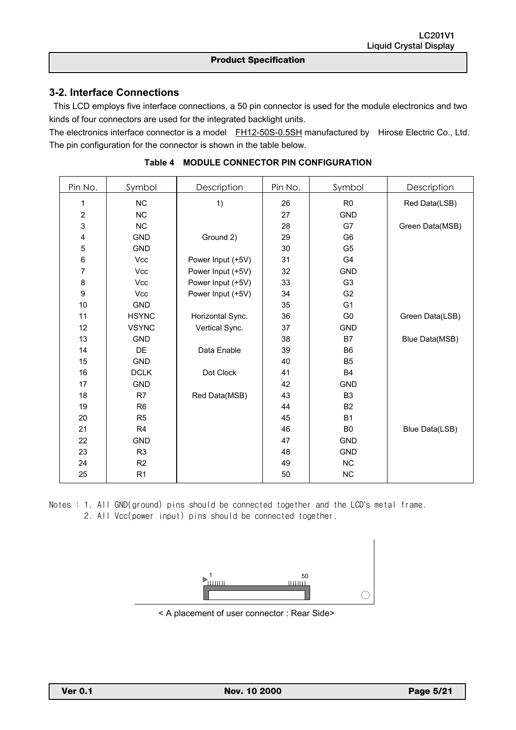## **3-2. Interface Connections**

<u></u>

This LCD employs five interface connections, a 50 pin connector is used for the module electronics and two kinds of four connectors are used for the integrated backlight units.

The electronics interface connector is a model FH12-50S-0.5SH manufactured by Hirose Electric Co., Ltd. The pin configuration for the connector is shown in the table below.

| Pin No.          | Symbol         | Description       | Pin No. | Symbol         | Description     |  |  |  |
|------------------|----------------|-------------------|---------|----------------|-----------------|--|--|--|
| 1                | NC             | 1)                | 26      | R <sub>0</sub> | Red Data(LSB)   |  |  |  |
| $\boldsymbol{2}$ | <b>NC</b>      |                   | 27      | <b>GND</b>     |                 |  |  |  |
| 3                | <b>NC</b>      |                   | 28      | G7             | Green Data(MSB) |  |  |  |
| 4                | <b>GND</b>     | Ground 2)         | 29      | G <sub>6</sub> |                 |  |  |  |
| 5                | <b>GND</b>     |                   | 30      | G <sub>5</sub> |                 |  |  |  |
| $\,6$            | <b>Vcc</b>     | Power Input (+5V) | 31      | G4             |                 |  |  |  |
| $\overline{7}$   | <b>Vcc</b>     | Power Input (+5V) | 32      | <b>GND</b>     |                 |  |  |  |
| 8                | <b>Vcc</b>     | Power Input (+5V) | 33      | G <sub>3</sub> |                 |  |  |  |
| $\boldsymbol{9}$ | <b>Vcc</b>     | Power Input (+5V) | 34      | G <sub>2</sub> |                 |  |  |  |
| 10               | <b>GND</b>     |                   | 35      | G <sub>1</sub> |                 |  |  |  |
| 11               | <b>HSYNC</b>   | Horizontal Sync.  | 36      | G <sub>0</sub> | Green Data(LSB) |  |  |  |
| 12               | <b>VSYNC</b>   | Vertical Sync.    | 37      | <b>GND</b>     |                 |  |  |  |
| 13               | <b>GND</b>     |                   | 38      | B7             | Blue Data(MSB)  |  |  |  |
| 14               | DE             | Data Enable       | 39      | B <sub>6</sub> |                 |  |  |  |
| 15               | <b>GND</b>     |                   | 40      | B <sub>5</sub> |                 |  |  |  |
| 16               | <b>DCLK</b>    | Dot Clock         | 41      | <b>B4</b>      |                 |  |  |  |
| 17               | <b>GND</b>     |                   | 42      | <b>GND</b>     |                 |  |  |  |
| 18               | R <sub>7</sub> | Red Data(MSB)     | 43      | B <sub>3</sub> |                 |  |  |  |
| 19               | R <sub>6</sub> |                   | 44      | <b>B2</b>      |                 |  |  |  |
| 20               | R <sub>5</sub> |                   | 45      | <b>B1</b>      |                 |  |  |  |
| 21               | R <sub>4</sub> |                   | 46      | B <sub>0</sub> | Blue Data(LSB)  |  |  |  |
| 22               | <b>GND</b>     |                   | 47      | <b>GND</b>     |                 |  |  |  |
| 23               | R <sub>3</sub> |                   | 48      | <b>GND</b>     |                 |  |  |  |
| 24               | R <sub>2</sub> |                   | 49      | <b>NC</b>      |                 |  |  |  |
| 25               | R <sub>1</sub> |                   | 50      | <b>NC</b>      |                 |  |  |  |

**Table 4 MODULE CONNECTOR PIN CONFIGURATION** 

Notes : 1. All GND(ground) pins should be connected together and the LCD's metal frame. 2. All Vcc(power input) pins should be connected together.



< A placement of user connector : Rear Side>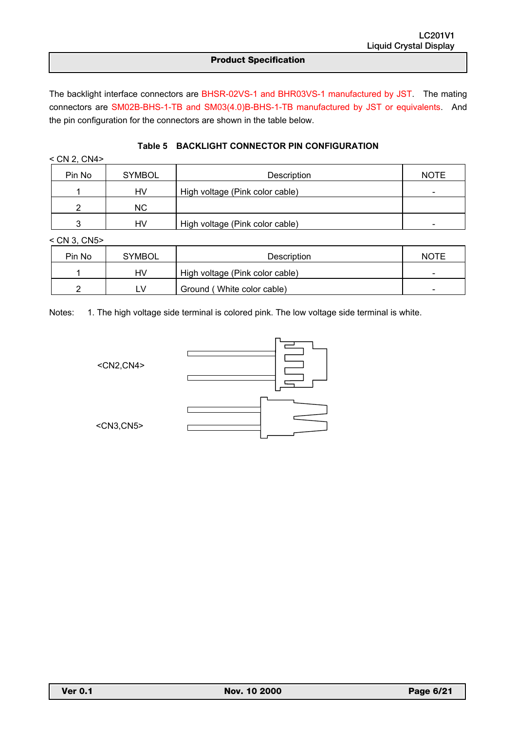<u></u>

The backlight interface connectors are BHSR-02VS-1 and BHR03VS-1 manufactured by JST. The mating connectors are SM02B-BHS-1-TB and SM03(4.0)B-BHS-1-TB manufactured by JST or equivalents. And the pin configuration for the connectors are shown in the table below.

| $<$ CN 2, CN4 $>$ |               |                                 |             |
|-------------------|---------------|---------------------------------|-------------|
| Pin No            | <b>SYMBOL</b> | Description                     | <b>NOTE</b> |
|                   | HV            | High voltage (Pink color cable) | -           |
|                   | NC.           |                                 |             |
| ◠                 | HV            | High voltage (Pink color cable) |             |

### **Table 5 BACKLIGHT CONNECTOR PIN CONFIGURATION**

< CN 3, CN5>

| Pin No | SYMBOL | Description                     | <b>NOTE</b> |
|--------|--------|---------------------------------|-------------|
|        | HV     | High voltage (Pink color cable) |             |
|        |        | Ground (White color cable)      |             |

Notes: 1. The high voltage side terminal is colored pink. The low voltage side terminal is white.

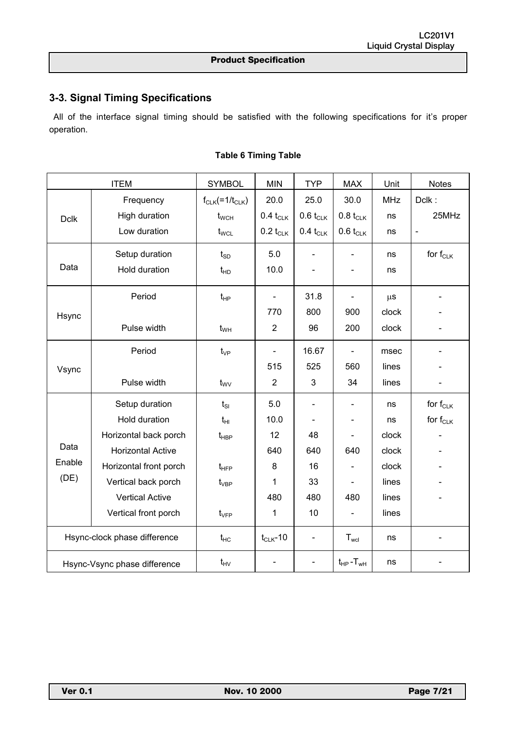# **3-3. Signal Timing Specifications**

<u></u>

 All of the interface signal timing should be satisfied with the following specifications for it's proper operation.

|                              | <b>ITEM</b>                  | <b>SYMBOL</b>              | <b>MIN</b>     | <b>TYP</b>               | <b>MAX</b>                   | Unit       | <b>Notes</b>             |
|------------------------------|------------------------------|----------------------------|----------------|--------------------------|------------------------------|------------|--------------------------|
|                              | Frequency                    | $f_{CLK}$ (=1/ $t_{CLK}$ ) | 20.0           | 25.0                     | 30.0                         | <b>MHz</b> | Dclk:                    |
| <b>Dclk</b>                  | High duration                | $t_{\text{WCH}}$           | $0.4 t_{CLK}$  | $0.6 t_{CLK}$            | $0.8 t_{CLK}$                | ns         | 25MHz                    |
|                              | Low duration                 | $t_{\text{WCL}}$           | $0.2 t_{CLK}$  | $0.4 t_{CLK}$            | $0.6 t_{CLK}$                | ns         | $\blacksquare$           |
|                              | Setup duration               | $t_{SD}$                   | 5.0            | ÷,                       |                              | ns         | for $f_{CLK}$            |
| Data                         | Hold duration                | $t_{HD}$                   | 10.0           | $\overline{\phantom{0}}$ | $\qquad \qquad \blacksquare$ | ns         |                          |
|                              | Period                       | $t_{HP}$                   | $\blacksquare$ | 31.8                     | $\blacksquare$               | $\mu$ s    | $\overline{\phantom{a}}$ |
| Hsync                        |                              |                            | 770            | 800                      | 900                          | clock      |                          |
|                              | Pulse width                  | $t_{WH}$                   | $\overline{2}$ | 96                       | 200                          | clock      |                          |
|                              | Period                       | $t_{VP}$                   | $\blacksquare$ | 16.67                    |                              | msec       |                          |
| Vsync                        |                              |                            | 515            | 525                      | 560                          | lines      |                          |
|                              | Pulse width                  | $t_{\rm WV}$               | $\overline{2}$ | 3                        | 34                           | lines      |                          |
|                              | Setup duration               | $t_{SI}$                   | 5.0            | $\overline{\phantom{0}}$ |                              | ns         | for $f_{CLK}$            |
|                              | Hold duration                | $t_{HI}$                   | 10.0           | $\blacksquare$           | $\overline{\phantom{a}}$     | ns         | for $f_{CLK}$            |
|                              | Horizontal back porch        | $t_{\sf HBP}$              | 12             | 48                       |                              | clock      |                          |
| Data                         | <b>Horizontal Active</b>     |                            | 640            | 640                      | 640                          | clock      |                          |
| Enable                       | Horizontal front porch       | $t_{\text{HFP}}$           | 8              | 16                       |                              | clock      |                          |
| (DE)                         | Vertical back porch          | $t_{\rm VBP}$              | 1              | 33                       |                              | lines      |                          |
|                              | <b>Vertical Active</b>       |                            | 480            | 480                      | 480                          | lines      |                          |
|                              | Vertical front porch         | $t_{\rm VFP}$              | 1              | 10                       |                              | lines      |                          |
| Hsync-clock phase difference |                              | $t_{HC}$                   | $t_{CLK}$ -10  | $\blacksquare$           | $T_{\text{wcl}}$             | ns         | $\overline{\phantom{a}}$ |
|                              | Hsync-Vsync phase difference | $t_{HV}$                   |                | $\overline{a}$           | $t_{HP}$ - $T_{WH}$          | ns         |                          |

### **Table 6 Timing Table**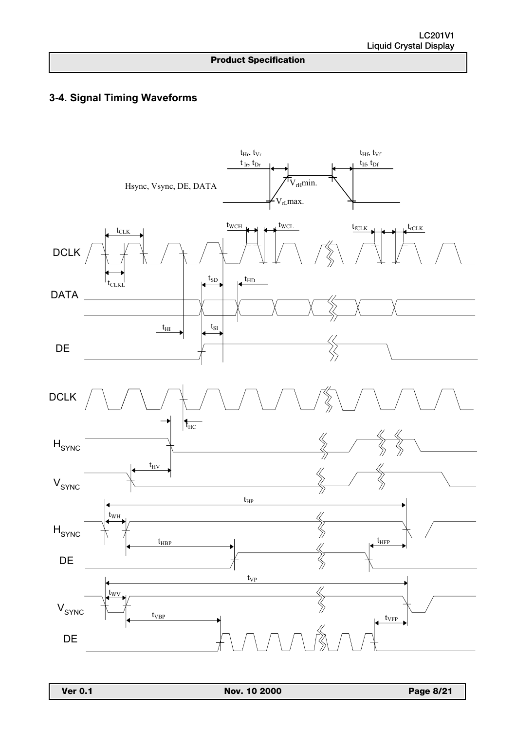# **3-4. Signal Timing Waveforms**

<u></u>

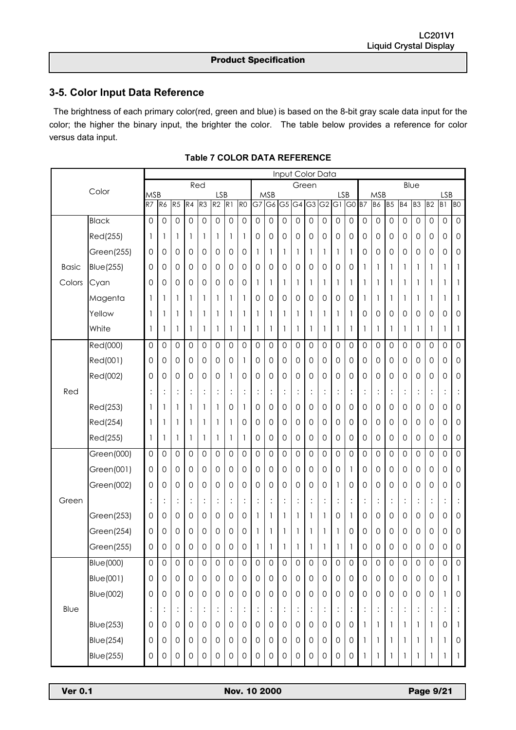# **3-5. Color Input Data Reference**

<u></u>

 The brightness of each primary color(red, green and blue) is based on the 8-bit gray scale data input for the color; the higher the binary input, the brighter the color. The table below provides a reference for color versus data input.

|              |                   |                     |                     |                     |                     | Input Color Data    |                     |                      |                     |                 |                     |                 |                      |             |                     |                              |                                      |                     |                     |                |                |                     |                      |                              |                     |
|--------------|-------------------|---------------------|---------------------|---------------------|---------------------|---------------------|---------------------|----------------------|---------------------|-----------------|---------------------|-----------------|----------------------|-------------|---------------------|------------------------------|--------------------------------------|---------------------|---------------------|----------------|----------------|---------------------|----------------------|------------------------------|---------------------|
|              | Color             |                     |                     |                     |                     | Red                 |                     |                      |                     |                 |                     |                 |                      | Green       |                     |                              |                                      | Blue                |                     |                |                |                     |                      |                              |                     |
|              |                   | <b>MSB</b><br>R7    | R6                  | R5                  | R4                  | R3                  | <b>LSB</b><br>R2    | R <sub>1</sub>       | R <sub>0</sub>      | $\overline{G7}$ | <b>MSB</b><br>G6    | $\overline{G5}$ | $\overline{G4}$      | G3          | $\overline{G2}$     | <b>LSB</b><br>$\overline{G}$ | G0 B7                                |                     | <b>MSB</b><br>B6    | B <sub>5</sub> | <b>B4</b>      | B3                  | B <sub>2</sub>       | <b>LSB</b><br>B <sub>1</sub> | B <sub>O</sub>      |
|              | <b>Black</b>      | 0                   | 0                   | 0                   | $\mathbf 0$         | $\mathbf 0$         | 0                   | $\mathbf 0$          | 0                   | $\mathbf 0$     | 0                   | 0               | 0                    | 0           | 0                   | 0                            | $\mathsf{O}\xspace$                  | 0                   | 0                   | 0              | 0              | 0                   | 0                    | 0                            | $\mathsf{O}\xspace$ |
|              | Red(255)          | 1                   | 1                   | 1                   | 1                   | 1                   | 1                   | 1                    | 1                   | 0               | 0                   | 0               | 0                    | 0           | 0                   | 0                            | 0                                    | 0                   | 0                   | 0              | 0              | 0                   | 0                    | 0                            | $\mathsf{O}\xspace$ |
|              | Green(255)        | 0                   | 0                   | 0                   | $\mathbf 0$         | 0                   | 0                   | 0                    | 0                   | 1               | 1                   | 1               | 1                    | 1           | 1                   | 1                            | 1                                    | 0                   | 0                   | 0              | 0              | 0                   | 0                    | 0                            | $\mathsf{O}\xspace$ |
| <b>Basic</b> | <b>Blue</b> (255) | 0                   | 0                   | 0                   | 0                   | 0                   | 0                   | 0                    | 0                   | 0               | 0                   | 0               | 0                    | 0           | 0                   | 0                            | 0                                    | 1                   | 1                   | 1              | 1              | 1                   | 1                    | 1                            | 1                   |
| Colors       | Cyan              | 0                   | 0                   | 0                   | 0                   | 0                   | 0                   | 0                    | 0                   | 1               | 1                   | 1               | 1                    | 1           | 1                   | 1                            | 1                                    | 1                   | 1                   | 1              | 1              | 1                   | 1                    | 1                            | 1                   |
|              | Magenta           | 1                   | 1                   | 1                   | 1                   | 1                   | 1                   | 1                    | 1                   | 0               | 0                   | 0               | 0                    | 0           | 0                   | 0                            | 0                                    | 1                   | 1                   | 1              | 1              | 1                   | 1                    | 1                            | 1                   |
|              | Yellow            | 1                   | 1                   | 1                   | 1                   | 1                   | 1                   | 1                    | 1                   | 1               | 1                   | 1               | 1                    | 1           | 1                   | 1                            | 1                                    | 0                   | 0                   | 0              | 0              | 0                   | 0                    | 0                            | $\mathsf{O}\xspace$ |
|              | White             | 1                   | 1                   | 1                   | 1                   | 1                   | 1                   | 1                    | 1                   | 1               | 1                   | 1               | 1                    | 1           | 1                   | 1                            | 1                                    | 1                   | 1                   | 1              | 1              | 1                   | 1                    | 1                            | 1                   |
|              | Red(000)          | 0                   | 0                   | 0                   | 0                   | 0                   | 0                   | 0                    | 0                   | 0               | 0                   | 0               | 0                    | 0           | 0                   | 0                            | 0                                    | 0                   | 0                   | 0              | 0              | 0                   | 0                    | 0                            | $\mathsf{O}\xspace$ |
|              | Red(001)          | 0                   | 0                   | 0                   | $\mathbf 0$         | 0                   | 0                   | 0                    | 1                   | 0               | 0                   | 0               | 0                    | 0           | $\mathbf 0$         | 0                            | 0                                    | 0                   | 0                   | 0              | 0              | 0                   | 0                    | 0                            | $\mathsf{O}\xspace$ |
|              | Red(002)          | 0                   | 0                   | 0                   | 0                   | 0                   | 0                   | 1                    | 0                   | 0               | 0                   | 0               | 0                    | 0           | 0                   | 0                            | $\mathsf{O}\xspace$                  | 0                   | 0                   | 0              | 0              | 0                   | 0                    | 0                            | $\mathsf{O}\xspace$ |
| Red          |                   | $\ddot{\cdot}$      | :                   | :                   | $\ddot{\cdot}$      | $\vdots$            | $\vdots$            | $\ddot{\cdot}$       | $\vdots$            | $\ddot{\cdot}$  | $\ddot{\cdot}$      | $\vdots$        | :                    | $\vdots$    | $\vdots$            |                              | $\vdots$                             | $\vdots$            | $\vdots$            | :              | $\vdots$       | :                   | $\vdots$             | $\vdots$                     | $\vdots$            |
|              | Red(253)          | 1                   | 1                   |                     | 1                   | 1                   | 1                   | 0                    | 1                   | 0               | 0                   | 0               | 0                    | 0           | 0                   | 0                            | 0                                    | 0                   | 0                   | 0              | 0              | 0                   | 0                    | 0                            | $\mathsf{O}\xspace$ |
|              | Red(254)          | 1                   | 1                   | 1                   | 1                   | 1                   | 1                   | 1                    | 0                   | 0               | 0                   | 0               | 0                    | 0           | 0                   | 0                            | 0                                    | 0                   | 0                   | 0              | 0              | 0                   | 0                    | 0                            | $\mathsf{O}\xspace$ |
|              | Red(255)          | 1                   | 1                   | 1                   | 1                   | 1                   | 1                   | 1                    | 1                   | 0               | 0                   | 0               | 0                    | 0           | 0                   | 0                            | 0                                    | 0                   | 0                   | 0              | 0              | 0                   | 0                    | 0                            | $\mathsf{O}\xspace$ |
|              | Green(000)        | 0                   | 0                   | 0                   | $\mathbf{O}$        | 0                   | 0                   | 0                    | 0                   | $\mathbf 0$     | 0                   | 0               | 0                    | 0           | $\mathbf 0$         | 0                            | 0                                    | 0                   | $\mathsf{O}\xspace$ | 0              | 0              | 0                   | 0                    | 0                            | $\mathsf{O}\xspace$ |
|              | Green(001)        | 0                   | 0                   | 0                   | $\mathsf{O}\xspace$ | 0                   | 0                   | 0                    | 0                   | 0               | 0                   | 0               | 0                    | 0           | 0                   | 0                            | 1                                    | 0                   | 0                   | 0              | 0              | 0                   | 0                    | 0                            | $\mathsf{O}\xspace$ |
|              | Green(002)        | 0                   | 0                   | 0                   | 0                   | 0                   | 0                   | 0                    | 0                   | 0               | 0                   | 0               | 0                    | 0           | 0                   |                              | 0                                    | 0                   | 0                   | 0              | 0              | 0                   | 0                    | 0                            | $\mathsf{O}\xspace$ |
| Green        |                   | $\vdots$            | :                   | $\vdots$            | $\vdots$            | $\vdots$            | $\ddot{\cdot}$      | $\vdots$             | $\vdots$            | $\vdots$        | $\vdots$            | $\vdots$        | :                    | $\vdots$    | $\vdots$            | :                            | $\ddot{\cdot}$                       | $\vdots$            | $\vdots$            | $\vdots$       | $\ddot{\cdot}$ | $\vdots$            | $\ddot{\cdot}$       | :                            | $\vdots$            |
|              | Green(253)        | 0                   | 0                   | 0                   | 0                   | 0                   | 0                   | 0                    | 0                   | 1               | 1                   | 1               | 1                    | 1           | 1                   | 0                            | 1                                    | 0                   | 0                   | 0              | 0              | 0                   | 0                    | 0                            | $\mathsf{O}\xspace$ |
|              | Green(254)        | 0                   | 0                   | 0                   | 0                   | 0                   | 0                   | 0                    | 0                   | 1               | 1                   | 1               | 1                    | 1           | 1                   | -1                           | 0                                    | 0                   | 0                   | 0              | 0              | 0                   | 0                    | 0                            | $\mathsf{O}\xspace$ |
|              | Green(255)        | 0                   | 0                   | 0                   | 0                   | 0                   | 0                   | 0                    | 0                   | 1               | 1                   | 1               | 1                    |             | 1                   | 1                            | 1                                    | 0                   | 0                   | 0              | 0              | 0                   | 0                    | 0                            | $\mathbf 0$         |
|              | <b>Blue</b> (000) | $\mathsf{O}\xspace$ | $\mathsf{O}\xspace$ | $\mathsf{O}\xspace$ | $\mathsf{O}\xspace$ | $\mathsf{O}\xspace$ | $\mathsf{O}\xspace$ | $\mathsf{O}\xspace$  | $\mathbf 0$         | 0               | $\mathsf{O}\xspace$ | $\mathsf{O}$    | $\mathsf{O}\xspace$  | $\mathbf 0$ | 0                   | $\mathbf 0$                  | $\mathsf O$                          | 0                   | $\mathsf{O}\xspace$ | 0              | $\mathsf{O}$   | $\mathsf{O}$        | $\mathsf{O}\xspace$  | $\mathsf{O}\xspace$          | $\mathsf{O}\xspace$ |
|              | <b>Blue(001)</b>  | 0                   | 0                   | $\mathsf{O}$        | $\mathsf{O}\xspace$ | $\mathbf 0$         | $\mathsf{O}\xspace$ | $\mathsf{O}\xspace$  | $\mathsf{O}\xspace$ | $\mathsf{O}$    | 0                   | $\mathsf{O}$    | $\mathsf{O}\xspace$  | 0           | $\mathsf{O}\xspace$ | $\mathbf 0$                  | $\mathsf{O}\xspace$                  | $\mathsf{O}\xspace$ | $\mathsf{O}\xspace$ | $\mathbf 0$    | 0              | $\mathsf{O}\xspace$ | $\mathbf 0$          | $\mathsf{O}$                 | $\mathbf{1}$        |
|              | <b>Blue</b> (002) | 0                   | 0                   | $\mathbf 0$         | $\mathsf{O}\xspace$ | 0                   | $\mathsf{O}\xspace$ | $\mathsf{O}\xspace$  | $\mathsf{O}\xspace$ | $\mathbf 0$     | 0                   | $\mathsf{O}$    | $\mathsf{O}\xspace$  | $\mathbf 0$ | $\mathsf{O}\xspace$ | 0                            | $\mathsf{O}\xspace$                  | $\mathsf{O}\xspace$ | $\mathsf{O}\xspace$ | $\mathbf 0$    | 0              | $\mathsf{O}\xspace$ | $\mathbf 0$          | 1                            | $\mathsf{O}\xspace$ |
| Blue         |                   | $\vdots$            | $\ddot{\cdot}$      | $\vdots$            | $\vdots$            | $\vdots$            | $\ddot{\cdot}$      | $\ddot{\phantom{a}}$ | $\vdots$            | $\vdots$        | $\vdots$            | $\ddot{\cdot}$  | $\ddot{\phantom{a}}$ | $\vdots$    | $\ddot{\cdot}$      | $\vdots$                     | $\ddot{\ddot{\phantom{}}\phantom{}}$ | $\vdots$            | $\vdots$            | $\vdots$       | $\vdots$       | $\ddot{\cdot}$      | $\ddot{\phantom{a}}$ | $\vdots$                     | $\ddot{\cdot}$      |
|              | <b>Blue</b> (253) | 0                   | $\mathbf 0$         | $\mathbf 0$         | $\mathsf{O}\xspace$ | 0                   | $\mathsf{O}\xspace$ | $\mathbf 0$          | $\mathbf 0$         | $\mathbf 0$     | 0                   | $\mathsf{O}$    | $\mathbf 0$          | $\mathbf 0$ | $\mathsf{O}\xspace$ | 0                            | $\mathsf{O}\xspace$                  | -1                  | 1                   | 1              | 1              | 1                   | 1                    | $\mathbf 0$                  | $\mathbf{1}$        |
|              | <b>Blue(254)</b>  | 0                   | $\mathbf 0$         | $\mathbf 0$         | $\mathbf 0$         | 0                   | $\mathsf{O}\xspace$ | $\mathsf{O}\xspace$  | $\mathsf{O}\xspace$ | $\overline{O}$  | $\mathsf{O}\xspace$ | $\mathsf{O}$    | $\mathsf{O}\xspace$  | $\mathbf 0$ | $\mathbf 0$         | 0                            | $\mathsf{O}\xspace$                  | $\mathbf{1}$        | 1                   | 1              | 1              | 1                   | $\mathbf{1}$         | 1                            | $\mathsf{O}\xspace$ |
|              | <b>Blue(255)</b>  | 0                   | $\mathbf 0$         | 0                   | $\mathsf{O}\xspace$ | $\mathsf{O}\xspace$ | 0                   | $\mathsf{O}\xspace$  | 0                   | $\mathsf O$     | $\mathsf{O}\xspace$ | 0               | $\mathsf{O}\xspace$  | 0           | $\mathsf{O}\xspace$ | $\mathsf{O}\xspace$          | $\mathsf{O}\xspace$                  | 1                   | 1                   | 1              | 1              | 1                   | 1                    | 1                            | $\mathbf{1}$        |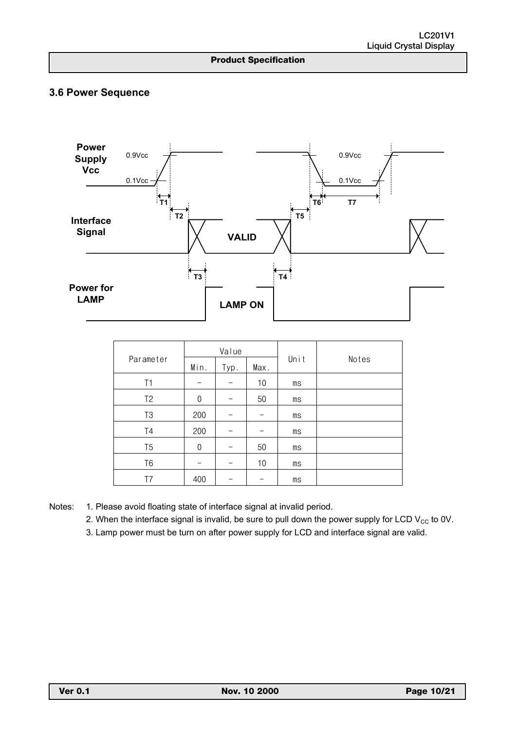# **3.6 Power Sequence**

<u></u>



|                |                              | Value |    |       |  |  |  |
|----------------|------------------------------|-------|----|-------|--|--|--|
| Parameter      | Unit<br>Min.<br>Max.<br>Typ. |       |    | Notes |  |  |  |
| Τ1             |                              |       | 10 | ms    |  |  |  |
| T <sub>2</sub> | $\theta$                     |       | 50 | ms    |  |  |  |
| T <sub>3</sub> | 200                          |       |    | ms    |  |  |  |
| T4             | 200                          |       |    | ms    |  |  |  |
| T <sub>5</sub> | $\theta$                     |       | 50 | ms    |  |  |  |
| T <sub>6</sub> |                              |       | 10 | ms    |  |  |  |
| T7             | 400                          |       |    | ms    |  |  |  |

Notes: 1. Please avoid floating state of interface signal at invalid period.

2. When the interface signal is invalid, be sure to pull down the power supply for LCD  $V_{CC}$  to 0V.

3. Lamp power must be turn on after power supply for LCD and interface signal are valid.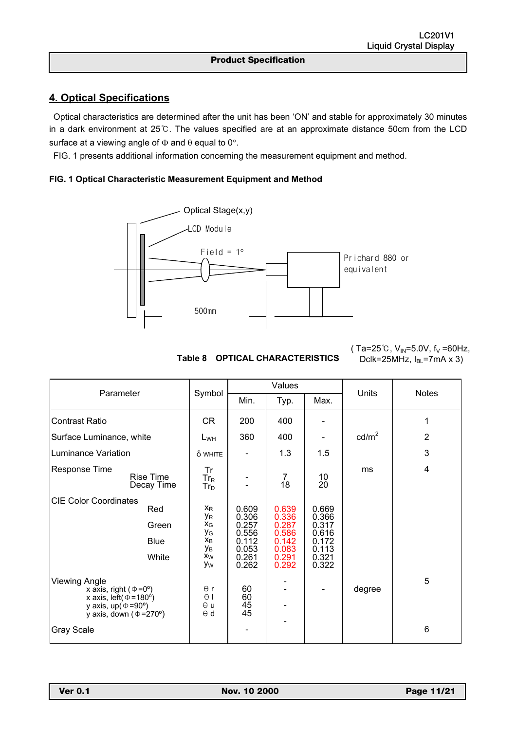# **4. Optical Specifications**

 Optical characteristics are determined after the unit has been 'ON' and stable for approximately 30 minutes in a dark environment at 25℃. The values specified are at an approximate distance 50cm from the LCD surface at a viewing angle of  $\Phi$  and  $\theta$  equal to 0°.

FIG. 1 presents additional information concerning the measurement equipment and method.

### **FIG. 1 Optical Characteristic Measurement Equipment and Method**

<u></u>



**Table 8 OPTICAL CHARACTERISTICS** 

( Ta=25℃,  $V_{IN}$ =5.0V,  $f_V$  =60Hz, Dclk=25MHz,  $I_{BL}$ =7mA x 3)

| Parameter                                                                                                                                                          | Symbol                                                                                  |                                                                      | Values                                                               |                                                                      | Units           | <b>Notes</b>   |  |
|--------------------------------------------------------------------------------------------------------------------------------------------------------------------|-----------------------------------------------------------------------------------------|----------------------------------------------------------------------|----------------------------------------------------------------------|----------------------------------------------------------------------|-----------------|----------------|--|
|                                                                                                                                                                    |                                                                                         | Min.                                                                 | Typ.                                                                 | Max.                                                                 |                 |                |  |
| <b>Contrast Ratio</b>                                                                                                                                              | <b>CR</b>                                                                               | 200                                                                  | 400                                                                  |                                                                      |                 | 1              |  |
| Surface Luminance, white                                                                                                                                           | $L_{WH}$                                                                                | 360                                                                  | 400                                                                  |                                                                      | $\text{cd/m}^2$ | $\overline{2}$ |  |
| Luminance Variation                                                                                                                                                | δ WHITE                                                                                 |                                                                      | 1.3                                                                  | 1.5                                                                  |                 | 3              |  |
| Response Time<br><b>Rise Time</b><br>Decay Time                                                                                                                    | Tr<br>$Tr_R$<br>$Tr_D$                                                                  |                                                                      | 7<br>18                                                              | 10<br>20                                                             | ms              | $\overline{4}$ |  |
| <b>CIE Color Coordinates</b><br>Red<br>Green<br><b>Blue</b><br>White                                                                                               | $X_{R}$<br>УR<br>$\mathsf{X}_{\mathsf{G}}$<br>УG<br>$x_B$<br>Ув<br>x <sub>W</sub><br>Уw | 0.609<br>0.306<br>0.257<br>0.556<br>0.112<br>0.053<br>0.261<br>0.262 | 0.639<br>0.336<br>0.287<br>0.586<br>0.142<br>0.083<br>0.291<br>0.292 | 0.669<br>0.366<br>0.317<br>0.616<br>0.172<br>0.113<br>0.321<br>0.322 |                 |                |  |
| <b>Viewing Angle</b><br>x axis, right ( $\Phi = 0^{\circ}$ )<br>x axis, left $(\Phi = 180^\circ)$<br>y axis, $up(\Phi = 90^\circ)$<br>y axis, down ( $\Phi$ =270°) | $\theta$ r<br>$\theta$  <br>$\theta$ u<br>$\Theta$ d                                    | 60<br>60<br>$\overline{45}$<br>45                                    |                                                                      |                                                                      | degree          | 5              |  |
| <b>Gray Scale</b>                                                                                                                                                  |                                                                                         |                                                                      |                                                                      |                                                                      |                 | 6              |  |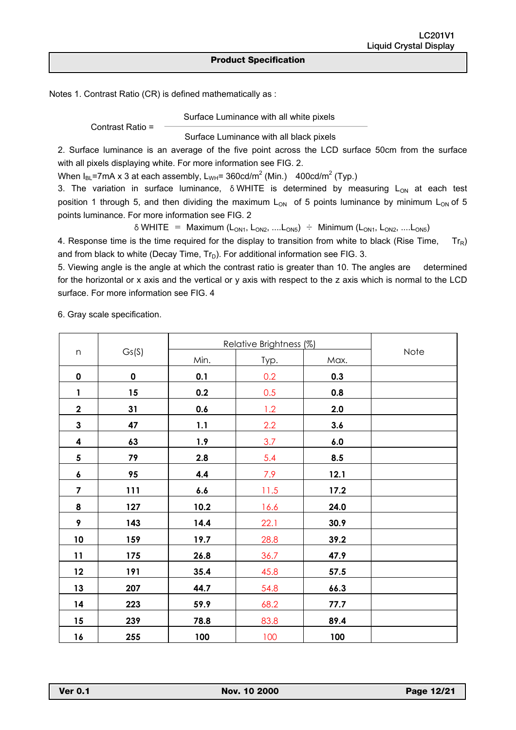Notes 1. Contrast Ratio (CR) is defined mathematically as :

Contrast Ratio =

<u></u>

Surface Luminance with all white pixels

Surface Luminance with all black pixels

2. Surface luminance is an average of the five point across the LCD surface 50cm from the surface with all pixels displaying white. For more information see FIG. 2.

When  $I_{BL}$ =7mA x 3 at each assembly,  $L_{WH}$ = 360cd/m<sup>2</sup> (Min.) 400cd/m<sup>2</sup> (Typ.)

3. The variation in surface luminance,  $\delta$  WHITE is determined by measuring  $L_{ON}$  at each test position 1 through 5, and then dividing the maximum  $L_{ON}$  of 5 points luminance by minimum  $L_{ON}$  of 5 points luminance. For more information see FIG. 2

 $\delta$  WHITE = Maximum (L<sub>ON1</sub>, L<sub>ON2</sub>, ....L<sub>ON5</sub>)  $\div$  Minimum (L<sub>ON1</sub>, L<sub>ON2</sub>, ....L<sub>ON5</sub>)

4. Response time is the time required for the display to transition from white to black (Rise Time,  $Tr_R$ ) and from black to white (Decay Time,  $Tr_D$ ). For additional information see FIG. 3.

5. Viewing angle is the angle at which the contrast ratio is greater than 10. The angles are determined for the horizontal or x axis and the vertical or y axis with respect to the z axis which is normal to the LCD surface. For more information see FIG. 4

6. Gray scale specification.

|                         |           | Relative Brightness (%) |      |      |      |
|-------------------------|-----------|-------------------------|------|------|------|
| $\boldsymbol{n}$        | Gs(S)     | Min.                    | Typ. | Max. | Note |
| $\pmb{0}$               | $\pmb{0}$ | 0.1                     | 0.2  | 0.3  |      |
| $\mathbf{1}$            | 15        | 0.2                     | 0.5  | 0.8  |      |
| $\mathbf 2$             | 31        | 0.6                     | 1.2  | 2.0  |      |
| 3                       | 47        | 1.1                     | 2.2  | 3.6  |      |
| 4                       | 63        | 1.9                     | 3.7  | 6.0  |      |
| 5                       | 79        | 2.8                     | 5.4  | 8.5  |      |
| 6                       | 95        | 4.4                     | 7.9  | 12.1 |      |
| $\overline{\mathbf{z}}$ | 111       | 6.6                     | 11.5 | 17.2 |      |
| 8                       | 127       | 10.2                    | 16.6 | 24.0 |      |
| 9                       | 143       | 14.4                    | 22.1 | 30.9 |      |
| $10$                    | 159       | 19.7                    | 28.8 | 39.2 |      |
| 11                      | 175       | 26.8                    | 36.7 | 47.9 |      |
| 12                      | 191       | 35.4                    | 45.8 | 57.5 |      |
| 13                      | 207       | 44.7                    | 54.8 | 66.3 |      |
| 14                      | 223       | 59.9                    | 68.2 | 77.7 |      |
| 15                      | 239       | 78.8                    | 83.8 | 89.4 |      |
| 16                      | 255       | 100                     | 100  | 100  |      |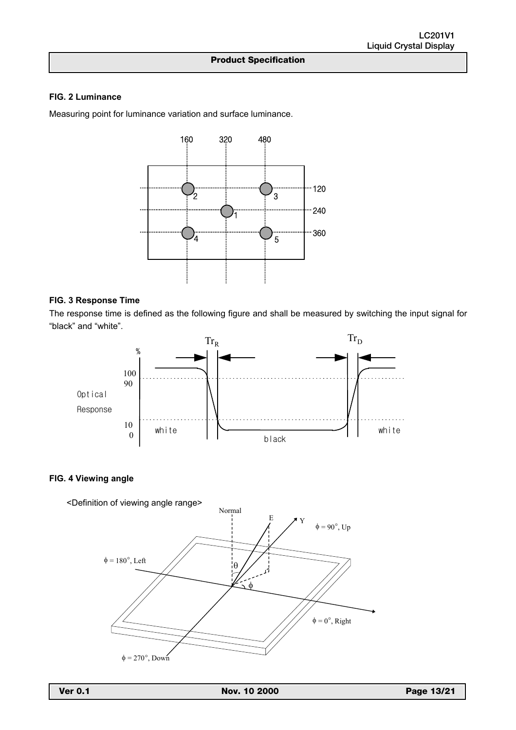### **FIG. 2 Luminance**

Measuring point for luminance variation and surface luminance.

<u></u>



### **FIG. 3 Response Time**

The response time is defined as the following figure and shall be measured by switching the input signal for "black" and "white".



### **FIG. 4 Viewing angle**

<Definition of viewing angle range>

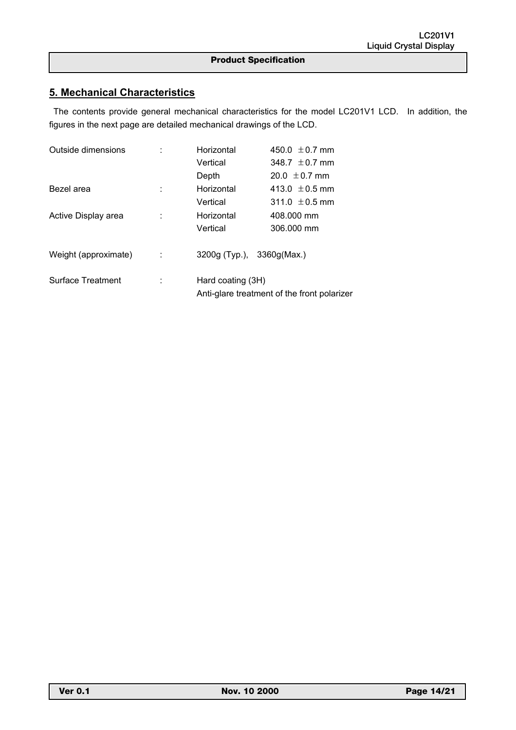## **5. Mechanical Characteristics**

<u></u>

 The contents provide general mechanical characteristics for the model LC201V1 LCD. In addition, the figures in the next page are detailed mechanical drawings of the LCD.

| Outside dimensions       |   | Horizontal                 | 450.0 $\pm$ 0.7 mm                          |  |  |  |
|--------------------------|---|----------------------------|---------------------------------------------|--|--|--|
|                          |   | Vertical                   | 348.7 $\pm$ 0.7 mm                          |  |  |  |
|                          |   | Depth                      | $20.0 \pm 0.7$ mm                           |  |  |  |
| Bezel area               |   | Horizontal                 | 413.0 $\pm$ 0.5 mm                          |  |  |  |
|                          |   | Vertical                   | 311.0 $\pm$ 0.5 mm                          |  |  |  |
| Active Display area      |   | Horizontal                 | 408,000 mm                                  |  |  |  |
|                          |   | Vertical                   | 306.000 mm                                  |  |  |  |
| Weight (approximate)     | ÷ | 3200g (Typ.), 3360g (Max.) |                                             |  |  |  |
| <b>Surface Treatment</b> |   | Hard coating (3H)          | Anti-glare treatment of the front polarizer |  |  |  |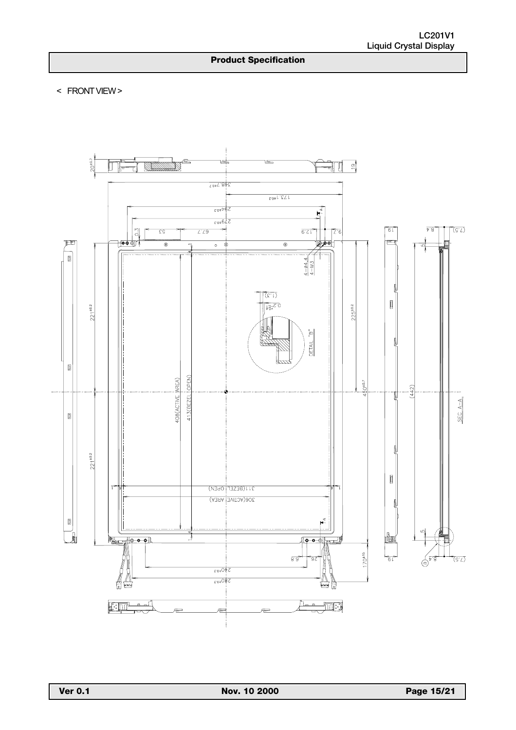< FRONT VIEW >

<u></u>

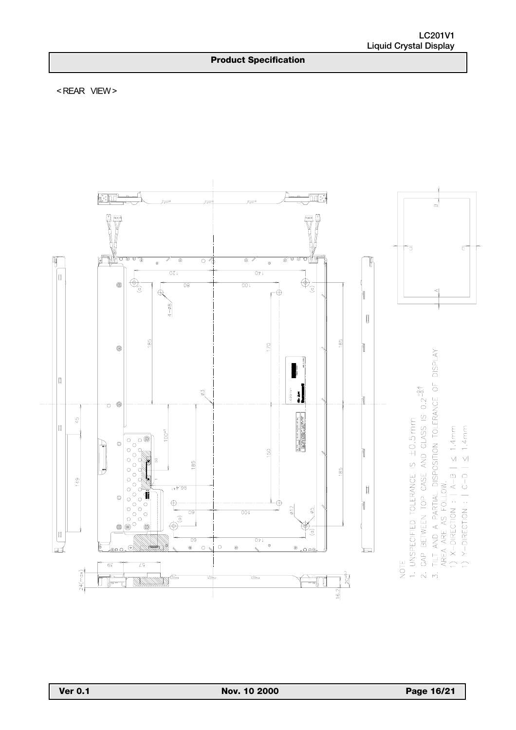< REAR VIEW >

<u></u>

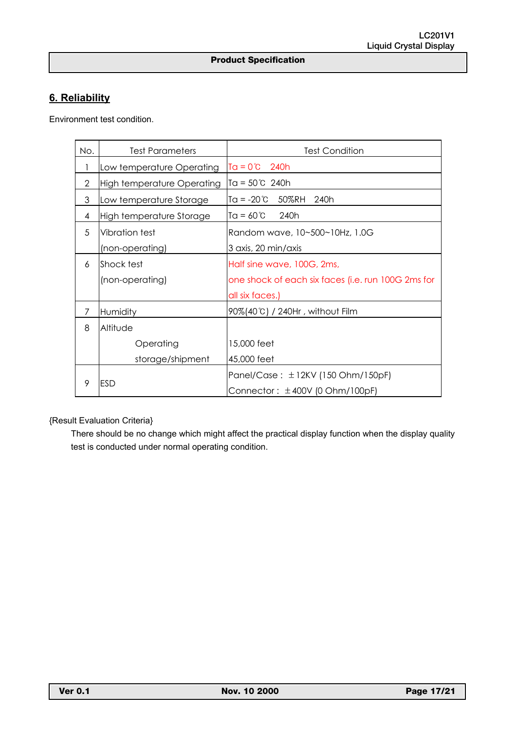# **6. Reliability**

Environment test condition.

<u></u>

| No. | <b>Test Parameters</b>            | <b>Test Condition</b>                              |
|-----|-----------------------------------|----------------------------------------------------|
| 1   | Low temperature Operating         | $T\alpha = 0^{\circ}C$ 240h                        |
| 2   | <b>High temperature Operating</b> | $Ta = 50^{\circ}C$ 240h                            |
| 3   | Low temperature Storage           | $Tq = -20^{\circ}C$<br>50%RH<br>240h               |
| 4   | High temperature Storage          | $TQ = 60^{\circ}C$<br>240h                         |
| 5   | Vibration test                    | Random wave, 10~500~10Hz, 1.0G                     |
|     | (non-operating)                   | 3 axis, 20 min/axis                                |
| 6   | Shock test                        | Half sine wave, 100G, 2ms,                         |
|     | (non-operating)                   | one shock of each six faces (i.e. run 100G 2ms for |
|     |                                   | all six faces.)                                    |
| 7   | Humidity                          | 90%(40°C) / 240Hr, without Film                    |
| 8   | Altitude                          |                                                    |
|     | Operating                         | 15,000 feet                                        |
|     | storage/shipment                  | 45,000 feet                                        |
|     |                                   | Panel/Case: ±12KV (150 Ohm/150pF)                  |
| 9   | <b>ESD</b>                        | Connector: $\pm$ 400V (0 Ohm/100pF)                |

## {Result Evaluation Criteria}

 There should be no change which might affect the practical display function when the display quality test is conducted under normal operating condition.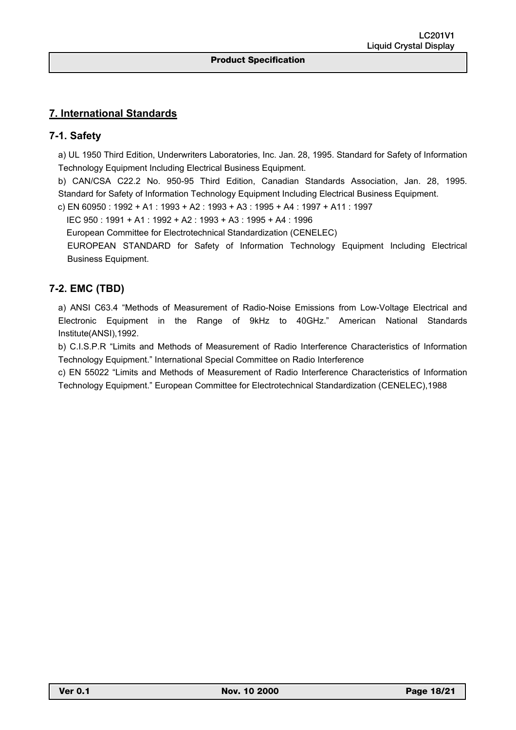## **7. International Standards**

## **7-1. Safety**

a) UL 1950 Third Edition, Underwriters Laboratories, Inc. Jan. 28, 1995. Standard for Safety of Information Technology Equipment Including Electrical Business Equipment.

b) CAN/CSA C22.2 No. 950-95 Third Edition, Canadian Standards Association, Jan. 28, 1995. Standard for Safety of Information Technology Equipment Including Electrical Business Equipment.

c) EN 60950 : 1992 + A1 : 1993 + A2 : 1993 + A3 : 1995 + A4 : 1997 + A11 : 1997

IEC 950 : 1991 + A1 : 1992 + A2 : 1993 + A3 : 1995 + A4 : 1996

<u></u>

European Committee for Electrotechnical Standardization (CENELEC)

EUROPEAN STANDARD for Safety of Information Technology Equipment Including Electrical Business Equipment.

## **7-2. EMC (TBD)**

a) ANSI C63.4 "Methods of Measurement of Radio-Noise Emissions from Low-Voltage Electrical and Electronic Equipment in the Range of 9kHz to 40GHz." American National Standards Institute(ANSI),1992.

b) C.I.S.P.R "Limits and Methods of Measurement of Radio Interference Characteristics of Information Technology Equipment." International Special Committee on Radio Interference

c) EN 55022 "Limits and Methods of Measurement of Radio Interference Characteristics of Information Technology Equipment." European Committee for Electrotechnical Standardization (CENELEC),1988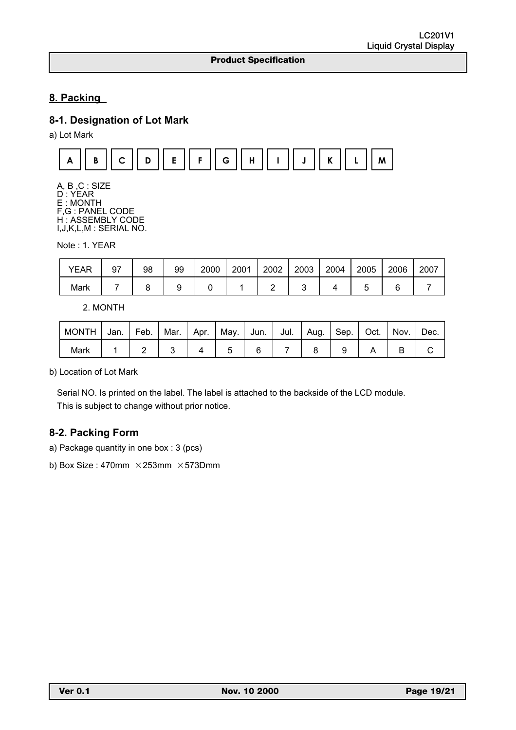# **8. Packing**

# **8-1. Designation of Lot Mark**

<u></u>

a) Lot Mark



A, B ,C : SIZE D : YEAR E : MONTH F,G : PANEL CODE H : ASSEMBLY CODE I,J,K,L,M : SERIAL NO.

Note : 1. YEAR

| <b>YEAR</b> | 97 | 98 | 99 | 2000 | 2001 | 2002 | 2003 | 2004 | 2005 | 2006 | 2007 |
|-------------|----|----|----|------|------|------|------|------|------|------|------|
| Mark        |    |    |    |      |      |      |      |      |      |      |      |

2. MONTH

| <b>MONTH</b> | Jan. | Feb. | Mar. Apr. |  | May. Jun. | Jul. I | Aug. | Sep.   Oct. | Nov. | Dec. |
|--------------|------|------|-----------|--|-----------|--------|------|-------------|------|------|
| Mark         |      |      |           |  |           |        |      |             |      |      |

b) Location of Lot Mark

Serial NO. Is printed on the label. The label is attached to the backside of the LCD module. This is subject to change without prior notice.

# **8-2. Packing Form**

a) Package quantity in one box : 3 (pcs)

b) Box Size : 470mm  $\times$  253mm  $\times$  573Dmm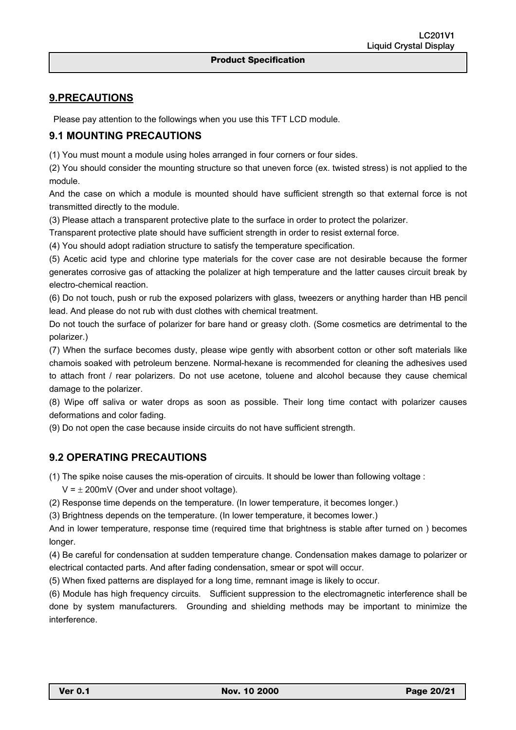## **9.PRECAUTIONS**

Please pay attention to the followings when you use this TFT LCD module.

<u></u>

## **9.1 MOUNTING PRECAUTIONS**

(1) You must mount a module using holes arranged in four corners or four sides.

(2) You should consider the mounting structure so that uneven force (ex. twisted stress) is not applied to the module.

And the case on which a module is mounted should have sufficient strength so that external force is not transmitted directly to the module.

(3) Please attach a transparent protective plate to the surface in order to protect the polarizer.

Transparent protective plate should have sufficient strength in order to resist external force.

(4) You should adopt radiation structure to satisfy the temperature specification.

(5) Acetic acid type and chlorine type materials for the cover case are not desirable because the former generates corrosive gas of attacking the polalizer at high temperature and the latter causes circuit break by electro-chemical reaction.

(6) Do not touch, push or rub the exposed polarizers with glass, tweezers or anything harder than HB pencil lead. And please do not rub with dust clothes with chemical treatment.

Do not touch the surface of polarizer for bare hand or greasy cloth. (Some cosmetics are detrimental to the polarizer.)

(7) When the surface becomes dusty, please wipe gently with absorbent cotton or other soft materials like chamois soaked with petroleum benzene. Normal-hexane is recommended for cleaning the adhesives used to attach front / rear polarizers. Do not use acetone, toluene and alcohol because they cause chemical damage to the polarizer.

(8) Wipe off saliva or water drops as soon as possible. Their long time contact with polarizer causes deformations and color fading.

(9) Do not open the case because inside circuits do not have sufficient strength.

## **9.2 OPERATING PRECAUTIONS**

(1) The spike noise causes the mis-operation of circuits. It should be lower than following voltage :

 $V = \pm 200$ mV (Over and under shoot voltage).

(2) Response time depends on the temperature. (In lower temperature, it becomes longer.)

(3) Brightness depends on the temperature. (In lower temperature, it becomes lower.)

And in lower temperature, response time (required time that brightness is stable after turned on ) becomes longer.

(4) Be careful for condensation at sudden temperature change. Condensation makes damage to polarizer or electrical contacted parts. And after fading condensation, smear or spot will occur.

(5) When fixed patterns are displayed for a long time, remnant image is likely to occur.

(6) Module has high frequency circuits. Sufficient suppression to the electromagnetic interference shall be done by system manufacturers. Grounding and shielding methods may be important to minimize the interference.